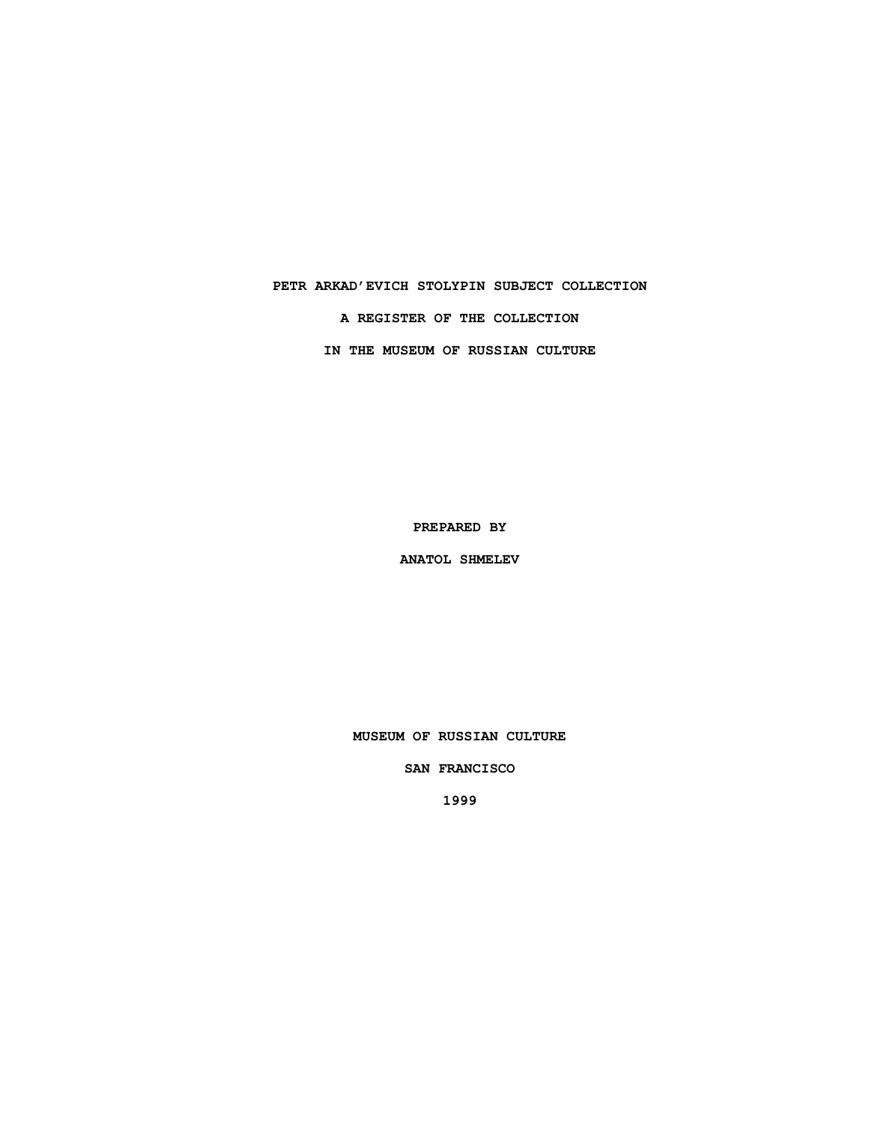# **PETR ARKAD'EVICH STOLYPIN SUBJECT COLLECTION A REGISTER OF THE COLLECTION IN THE MUSEUM OF RUSSIAN CULTURE**

**PREPARED BY**

**ANATOL SHMELEV**

**MUSEUM OF RUSSIAN CULTURE**

**SAN FRANCISCO**

**1999**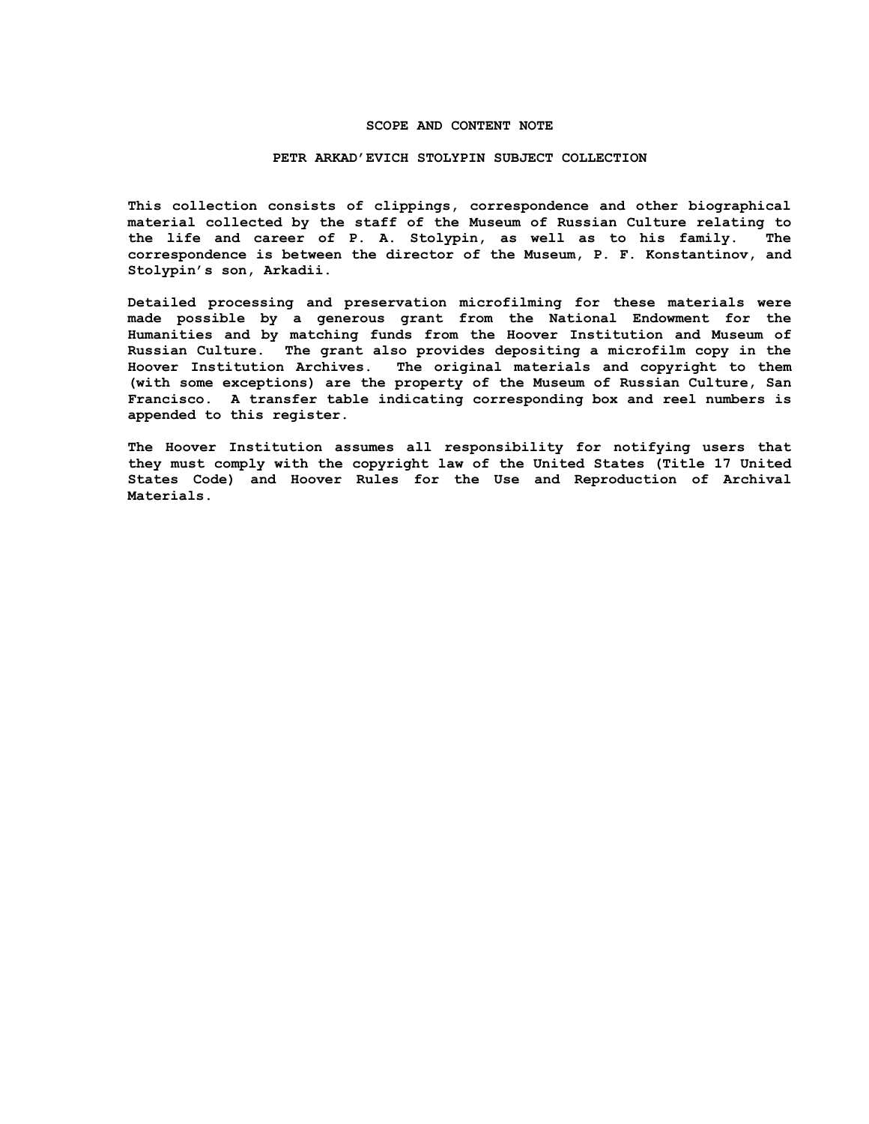#### **SCOPE AND CONTENT NOTE**

#### **PETR ARKAD'EVICH STOLYPIN SUBJECT COLLECTION**

**This collection consists of clippings, correspondence and other biographical material collected by the staff of the Museum of Russian Culture relating to the life and career of P. A. Stolypin, as well as to his family. The correspondence is between the director of the Museum, P. F. Konstantinov, and Stolypin's son, Arkadii.**

**Detailed processing and preservation microfilming for these materials were made possible by a generous grant from the National Endowment for the Humanities and by matching funds from the Hoover Institution and Museum of Russian Culture. The grant also provides depositing a microfilm copy in the Hoover Institution Archives. The original materials and copyright to them (with some exceptions) are the property of the Museum of Russian Culture, San Francisco. A transfer table indicating corresponding box and reel numbers is appended to this register.**

**The Hoover Institution assumes all responsibility for notifying users that they must comply with the copyright law of the United States (Title 17 United States Code) and Hoover Rules for the Use and Reproduction of Archival Materials.**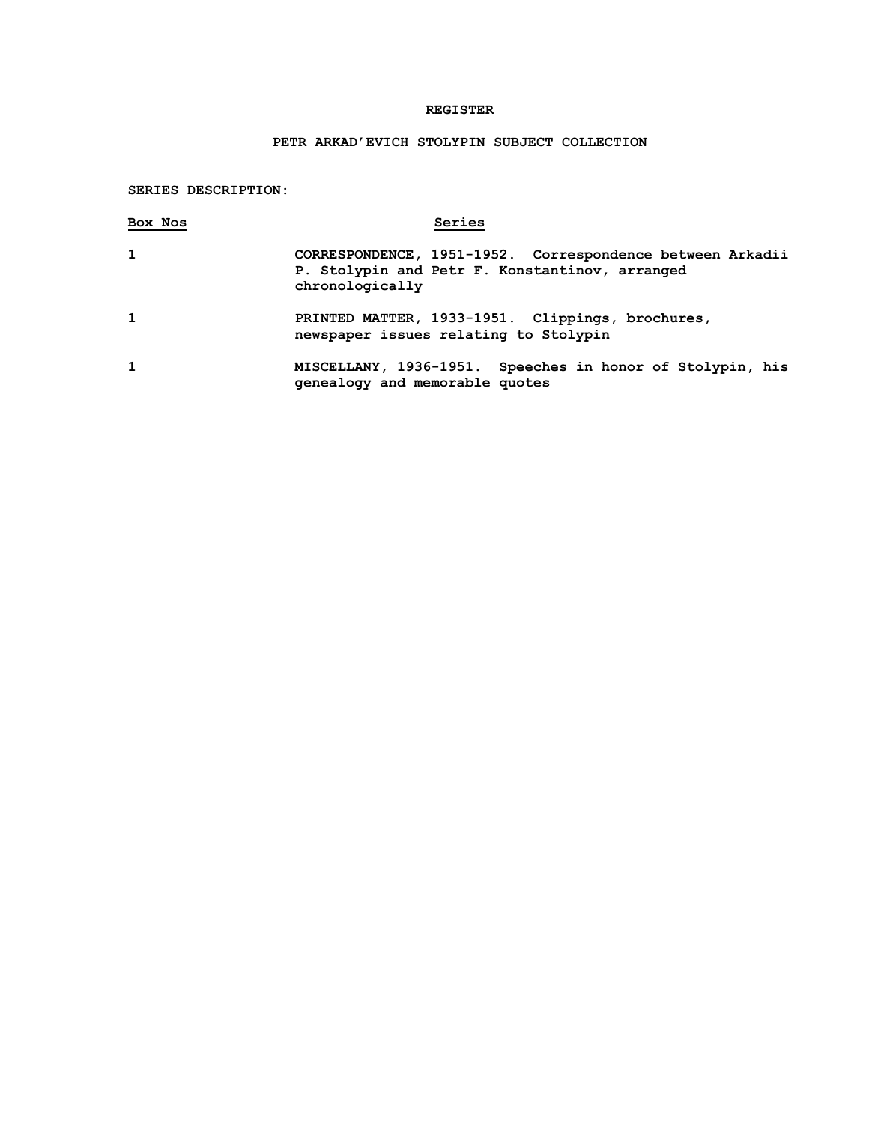### **REGISTER**

## **PETR ARKAD'EVICH STOLYPIN SUBJECT COLLECTION**

### **SERIES DESCRIPTION:**

| Box Nos | Series                                                                                                                         |
|---------|--------------------------------------------------------------------------------------------------------------------------------|
| 1       | CORRESPONDENCE, 1951-1952. Correspondence between Arkadii<br>P. Stolypin and Petr F. Konstantinov, arranged<br>chronologically |
| 1       | PRINTED MATTER, 1933-1951. Clippings, brochures,<br>newspaper issues relating to Stolypin                                      |
| 1       | MISCELLANY, 1936-1951. Speeches in honor of Stolypin, his<br>genealogy and memorable quotes                                    |